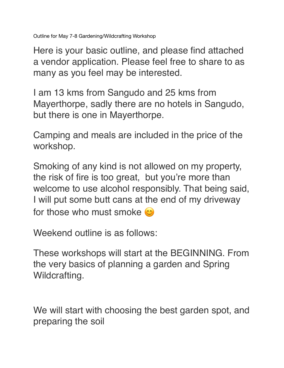Outline for May 7-8 Gardening/Wildcrafting Workshop

Here is your basic outline, and please find attached a vendor application. Please feel free to share to as many as you feel may be interested.

I am 13 kms from Sangudo and 25 kms from Mayerthorpe, sadly there are no hotels in Sangudo, but there is one in Mayerthorpe.

Camping and meals are included in the price of the workshop.

Smoking of any kind is not allowed on my property, the risk of fire is too great, but you're more than welcome to use alcohol responsibly. That being said, I will put some butt cans at the end of my driveway for those who must smoke  $\omega$ 

Weekend outline is as follows:

These workshops will start at the BEGINNING. From the very basics of planning a garden and Spring Wildcrafting.

We will start with choosing the best garden spot, and preparing the soil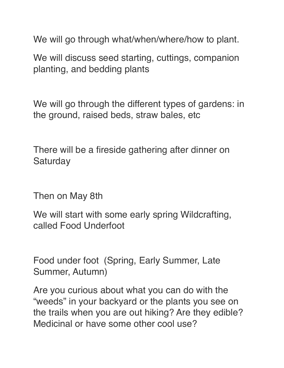We will go through what/when/where/how to plant.

We will discuss seed starting, cuttings, companion planting, and bedding plants

We will go through the different types of gardens: in the ground, raised beds, straw bales, etc

There will be a fireside gathering after dinner on **Saturday** 

Then on May 8th

We will start with some early spring Wildcrafting, called Food Underfoot

Food under foot (Spring, Early Summer, Late Summer, Autumn)

Are you curious about what you can do with the "weeds" in your backyard or the plants you see on the trails when you are out hiking? Are they edible? Medicinal or have some other cool use?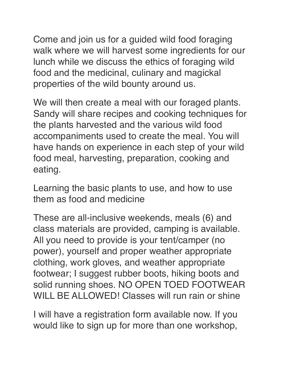Come and join us for a guided wild food foraging walk where we will harvest some ingredients for our lunch while we discuss the ethics of foraging wild food and the medicinal, culinary and magickal properties of the wild bounty around us.

We will then create a meal with our foraged plants. Sandy will share recipes and cooking techniques for the plants harvested and the various wild food accompaniments used to create the meal. You will have hands on experience in each step of your wild food meal, harvesting, preparation, cooking and eating.

Learning the basic plants to use, and how to use them as food and medicine

These are all-inclusive weekends, meals (6) and class materials are provided, camping is available. All you need to provide is your tent/camper (no power), yourself and proper weather appropriate clothing, work gloves, and weather appropriate footwear; I suggest rubber boots, hiking boots and solid running shoes. NO OPEN TOED FOOTWEAR WILL BE ALLOWED! Classes will run rain or shine

I will have a registration form available now. If you would like to sign up for more than one workshop,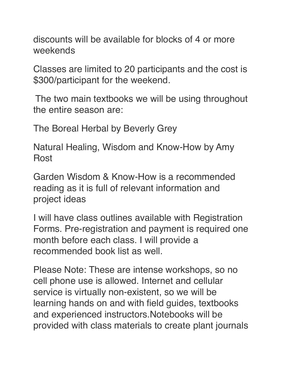discounts will be available for blocks of 4 or more weekends

Classes are limited to 20 participants and the cost is \$300/participant for the weekend.

The two main textbooks we will be using throughout the entire season are:

The Boreal Herbal by Beverly Grey

Natural Healing, Wisdom and Know-How by Amy Rost

Garden Wisdom & Know-How is a recommended reading as it is full of relevant information and project ideas

I will have class outlines available with Registration Forms. Pre-registration and payment is required one month before each class. I will provide a recommended book list as well.

Please Note: These are intense workshops, so no cell phone use is allowed. Internet and cellular service is virtually non-existent, so we will be learning hands on and with field guides, textbooks and experienced instructors.Notebooks will be provided with class materials to create plant journals